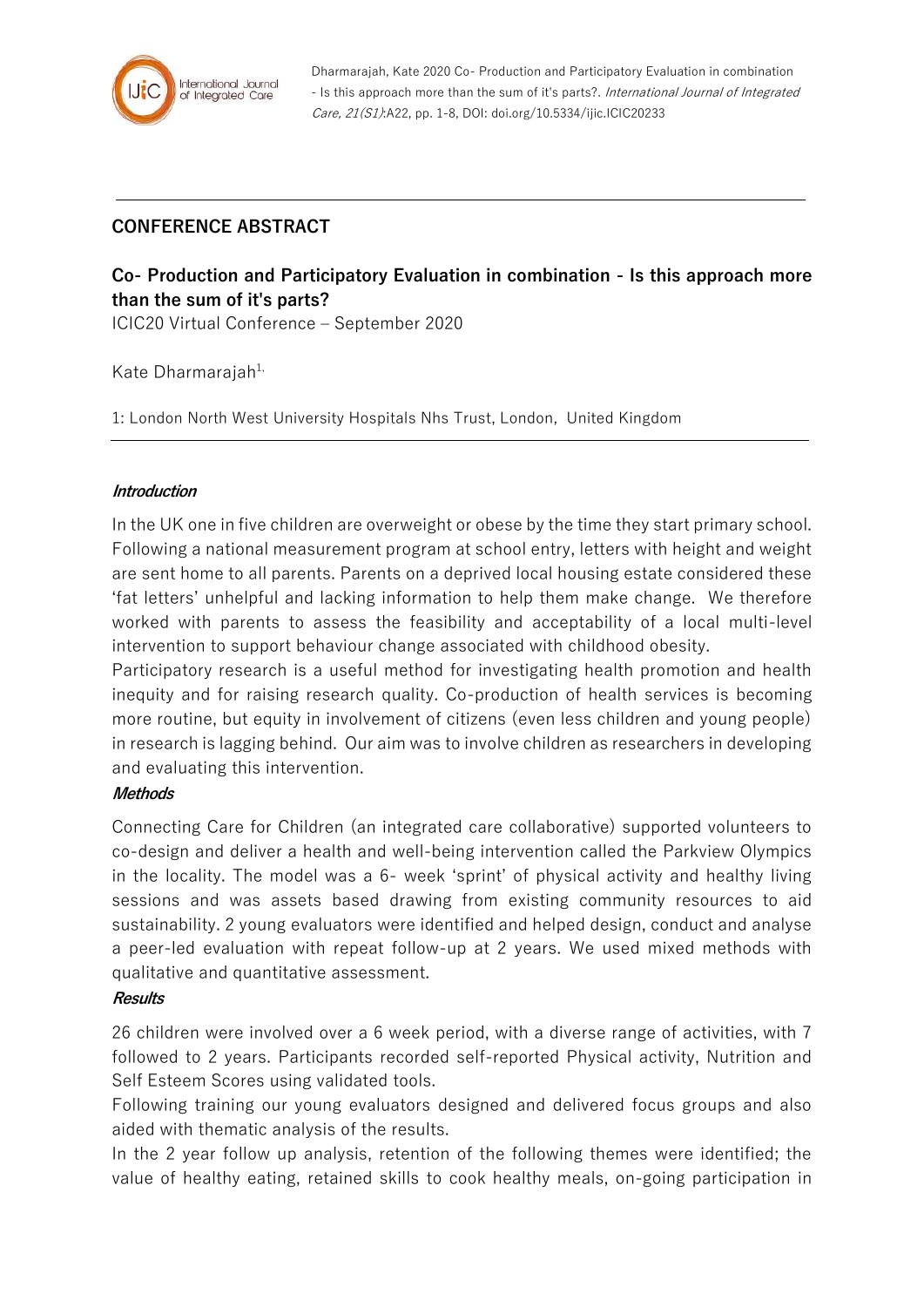

Dharmarajah, Kate 2020 Co- Production and Participatory Evaluation in combination - Is this approach more than the sum of it's parts?. International Journal of Integrated Care, 21(S1):A22, pp. 1-8, DOI: doi.org/10.5334/ijic.ICIC20233

# **CONFERENCE ABSTRACT**

# **Co- Production and Participatory Evaluation in combination - Is this approach more than the sum of it's parts?**

ICIC20 Virtual Conference – September 2020

Kate Dharmarajah<sup>1,</sup>

1: London North West University Hospitals Nhs Trust, London, United Kingdom

## **Introduction**

In the UK one in five children are overweight or obese by the time they start primary school. Following a national measurement program at school entry, letters with height and weight are sent home to all parents. Parents on a deprived local housing estate considered these 'fat letters' unhelpful and lacking information to help them make change. We therefore worked with parents to assess the feasibility and acceptability of a local multi-level intervention to support behaviour change associated with childhood obesity.

Participatory research is a useful method for investigating health promotion and health inequity and for raising research quality. Co-production of health services is becoming more routine, but equity in involvement of citizens (even less children and young people) in research is lagging behind. Our aim was to involve children as researchers in developing and evaluating this intervention.

### **Methods**

Connecting Care for Children (an integrated care collaborative) supported volunteers to co-design and deliver a health and well-being intervention called the Parkview Olympics in the locality. The model was a 6- week 'sprint' of physical activity and healthy living sessions and was assets based drawing from existing community resources to aid sustainability. 2 young evaluators were identified and helped design, conduct and analyse a peer-led evaluation with repeat follow-up at 2 years. We used mixed methods with qualitative and quantitative assessment.

### **Results**

26 children were involved over a 6 week period, with a diverse range of activities, with 7 followed to 2 years. Participants recorded self-reported Physical activity, Nutrition and Self Esteem Scores using validated tools.

Following training our young evaluators designed and delivered focus groups and also aided with thematic analysis of the results.

In the 2 year follow up analysis, retention of the following themes were identified; the value of healthy eating, retained skills to cook healthy meals, on-going participation in